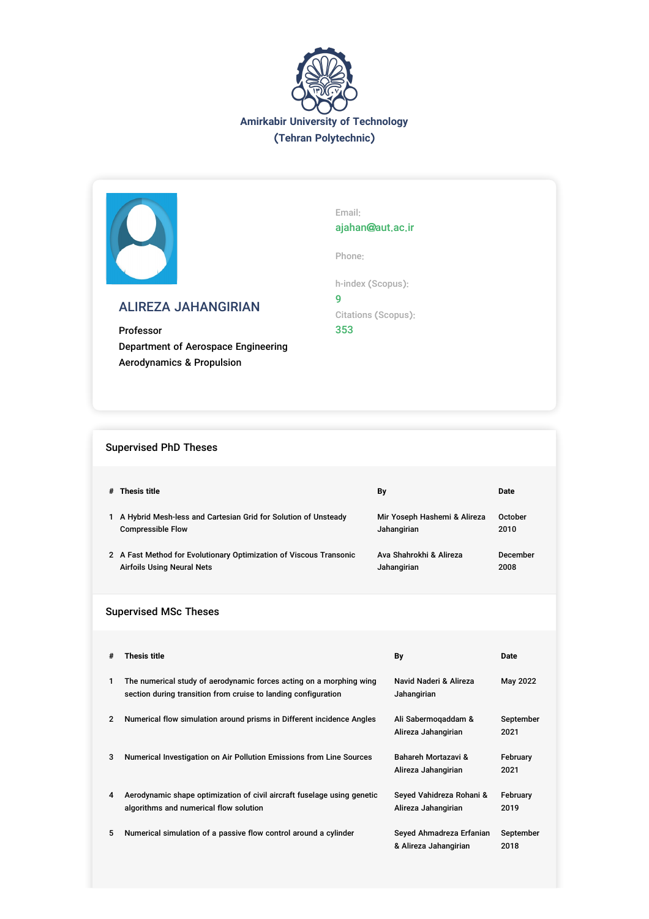



# ALIREZA JAHANGIRIAN

Professor Department of Aerospace Engineering Aerodynamics & Propulsion

Email: ajahan@aut.ac.ir

Phone:

h-index (Scopus):

9 Citations (Scopus): 353

# Supervised PhD Theses

|                              | # Thesis title                                                                                                                        | Bγ |                                                   | Date              |  |  |  |  |
|------------------------------|---------------------------------------------------------------------------------------------------------------------------------------|----|---------------------------------------------------|-------------------|--|--|--|--|
|                              | 1 A Hybrid Mesh-less and Cartesian Grid for Solution of Unsteady<br><b>Compressible Flow</b>                                          |    | Mir Yoseph Hashemi & Alireza<br>Jahangirian       | October<br>2010   |  |  |  |  |
|                              | 2 A Fast Method for Evolutionary Optimization of Viscous Transonic<br><b>Airfoils Using Neural Nets</b>                               |    | Ava Shahrokhi & Alireza<br>Jahangirian            | December<br>2008  |  |  |  |  |
| <b>Supervised MSc Theses</b> |                                                                                                                                       |    |                                                   |                   |  |  |  |  |
|                              |                                                                                                                                       |    |                                                   |                   |  |  |  |  |
| #                            | <b>Thesis title</b>                                                                                                                   |    | By                                                | <b>Date</b>       |  |  |  |  |
| 1                            | The numerical study of aerodynamic forces acting on a morphing wing<br>section during transition from cruise to landing configuration |    | Navid Naderi & Alireza<br>Jahangirian             | May 2022          |  |  |  |  |
| $\mathbf{2}$                 | Numerical flow simulation around prisms in Different incidence Angles                                                                 |    | Ali Sabermogaddam &<br>Alireza Jahangirian        | September<br>2021 |  |  |  |  |
| 3                            | Numerical Investigation on Air Pollution Emissions from Line Sources                                                                  |    | Bahareh Mortazavi &<br>Alireza Jahangirian        | February<br>2021  |  |  |  |  |
| 4                            | Aerodynamic shape optimization of civil aircraft fuselage using genetic<br>algorithms and numerical flow solution                     |    | Seyed Vahidreza Rohani &<br>Alireza Jahangirian   | February<br>2019  |  |  |  |  |
| 5                            | Numerical simulation of a passive flow control around a cylinder                                                                      |    | Seyed Ahmadreza Erfanian<br>& Alireza Jahangirian | September<br>2018 |  |  |  |  |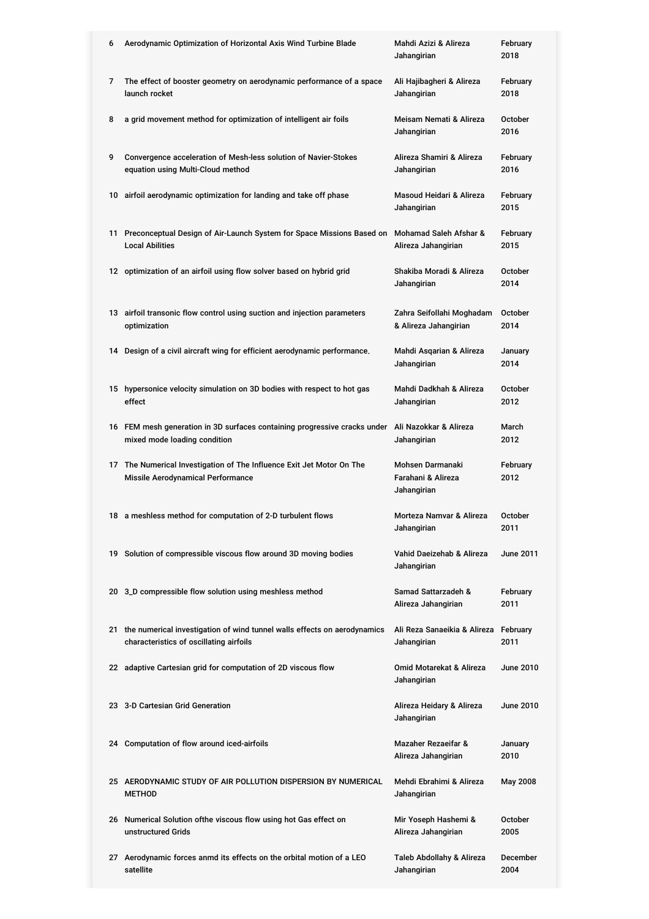| 6 | Aerodynamic Optimization of Horizontal Axis Wind Turbine Blade                                                         | Mahdi Azizi & Alireza<br>Jahangirian                 | February<br>2018       |
|---|------------------------------------------------------------------------------------------------------------------------|------------------------------------------------------|------------------------|
| 7 | The effect of booster geometry on aerodynamic performance of a space<br>launch rocket                                  | Ali Hajibagheri & Alireza<br>Jahangirian             | February<br>2018       |
| 8 | a grid movement method for optimization of intelligent air foils                                                       | Meisam Nemati & Alireza<br>Jahangirian               | October<br>2016        |
| 9 | Convergence acceleration of Mesh-less solution of Navier-Stokes<br>equation using Multi-Cloud method                   | Alireza Shamiri & Alireza<br>Jahangirian             | February<br>2016       |
|   | 10 airfoil aerodynamic optimization for landing and take off phase                                                     | Masoud Heidari & Alireza<br>Jahangirian              | February<br>2015       |
|   | 11 Preconceptual Design of Air-Launch System for Space Missions Based on<br><b>Local Abilities</b>                     | Mohamad Saleh Afshar &<br>Alireza Jahangirian        | February<br>2015       |
|   | 12 optimization of an airfoil using flow solver based on hybrid grid                                                   | Shakiba Moradi & Alireza<br>Jahangirian              | October<br>2014        |
|   | 13 airfoil transonic flow control using suction and injection parameters<br>optimization                               | Zahra Seifollahi Moghadam<br>& Alireza Jahangirian   | <b>October</b><br>2014 |
|   | 14 Design of a civil aircraft wing for efficient aerodynamic performance.                                              | Mahdi Asqarian & Alireza<br>Jahangirian              | January<br>2014        |
|   | 15 hypersonice velocity simulation on 3D bodies with respect to hot gas<br>effect                                      | Mahdi Dadkhah & Alireza<br>Jahangirian               | <b>October</b><br>2012 |
|   | 16 FEM mesh generation in 3D surfaces containing progressive cracks under<br>mixed mode loading condition              | Ali Nazokkar & Alireza<br>Jahangirian                | March<br>2012          |
|   | 17 The Numerical Investigation of The Influence Exit Jet Motor On The                                                  | Mohsen Darmanaki                                     | February               |
|   | Missile Aerodynamical Performance                                                                                      | Farahani & Alireza<br>Jahangirian                    | 2012                   |
|   | 18 a meshless method for computation of 2-D turbulent flows                                                            | Morteza Namvar & Alireza<br>Jahangirian              | <b>October</b><br>2011 |
|   | 19 Solution of compressible viscous flow around 3D moving bodies                                                       | Vahid Daeizehab & Alireza<br>Jahangirian             | <b>June 2011</b>       |
|   | 20 3_D compressible flow solution using meshless method                                                                | Samad Sattarzadeh &<br>Alireza Jahangirian           | February<br>2011       |
|   | 21 the numerical investigation of wind tunnel walls effects on aerodynamics<br>characteristics of oscillating airfoils | Ali Reza Sanaeikia & Alireza February<br>Jahangirian | 2011                   |
|   | 22 adaptive Cartesian grid for computation of 2D viscous flow                                                          | Omid Motarekat & Alireza<br>Jahangirian              | <b>June 2010</b>       |
|   | 23 3-D Cartesian Grid Generation                                                                                       | Alireza Heidary & Alireza<br>Jahangirian             | June 2010              |
|   | 24 Computation of flow around iced-airfoils                                                                            | Mazaher Rezaeifar &<br>Alireza Jahangirian           | January<br>2010        |
|   | 25 AERODYNAMIC STUDY OF AIR POLLUTION DISPERSION BY NUMERICAL<br><b>METHOD</b>                                         | Mehdi Ebrahimi & Alireza<br>Jahangirian              | May 2008               |
|   | 26 Numerical Solution of the viscous flow using hot Gas effect on<br>unstructured Grids                                | Mir Yoseph Hashemi &<br>Alireza Jahangirian          | <b>October</b><br>2005 |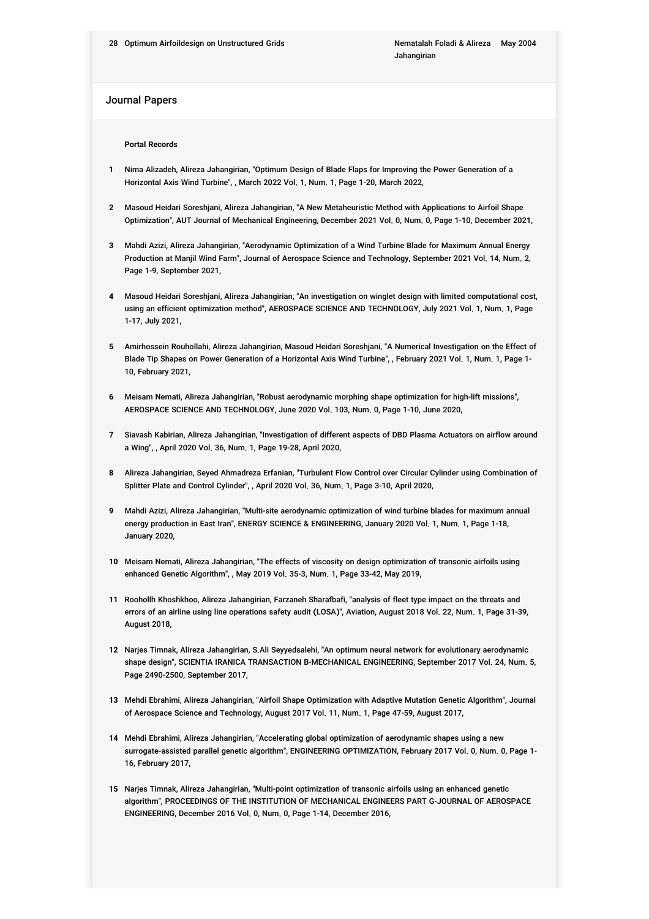### Journal Papers

#### **Portal Records**

- **1** Nima Alizadeh, Alireza Jahangirian, "Optimum Design of Blade Flaps for Improving the Power Generation of a Horizontal Axis Wind Turbine", , March 2022 Vol. 1, Num. 1, Page 1-20, March 2022,
- **2** Masoud Heidari Soreshjani, Alireza Jahangirian, "A New Metaheuristic Method with Applications to Airfoil Shape Optimization", AUT Journal of Mechanical Engineering, December 2021 Vol. 0, Num. 0, Page 1-10, December 2021,
- **3** Mahdi Azizi, Alireza Jahangirian, "Aerodynamic Optimization of a Wind Turbine Blade for Maximum Annual Energy Production at Manjil Wind Farm", Journal of Aerospace Science and Technology, September 2021 Vol. 14, Num. 2, Page 1-9, September 2021,
- **4** Masoud Heidari Soreshjani, Alireza Jahangirian, "An investigation on winglet design with limited computational cost, using an efficient optimization method", AEROSPACE SCIENCE AND TECHNOLOGY, July 2021 Vol. 1, Num. 1, Page 1-17, July 2021,
- **5** Amirhossein Rouhollahi, Alireza Jahangirian, Masoud Heidari Soreshjani, "A Numerical Investigation on the Effect of Blade Tip Shapes on Power Generation of a Horizontal Axis Wind Turbine", , February 2021 Vol. 1, Num. 1, Page 1- 10, February 2021,
- **6** Meisam Nemati, Alireza Jahangirian, "Robust aerodynamic morphing shape optimization for high-lift missions", AEROSPACE SCIENCE AND TECHNOLOGY, June 2020 Vol. 103, Num. 0, Page 1-10, June 2020,
- **7** Siavash Kabirian, Alireza Jahangirian, "Investigation of different aspects of DBD Plasma Actuators on airflow around a Wing", , April 2020 Vol. 36, Num. 1, Page 19-28, April 2020,
- **8** Alireza Jahangirian, Seyed Ahmadreza Erfanian, "Turbulent Flow Control over Circular Cylinder using Combination of Splitter Plate and Control Cylinder", , April 2020 Vol. 36, Num. 1, Page 3-10, April 2020,
- **9** Mahdi Azizi, Alireza Jahangirian, "Multi-site aerodynamic optimization of wind turbine blades for maximum annual energy production in East Iran", ENERGY SCIENCE & ENGINEERING, January 2020 Vol. 1, Num. 1, Page 1-18, January 2020,
- **10** Meisam Nemati, Alireza Jahangirian, "The effects of viscosity on design optimization of transonic airfoils using enhanced Genetic Algorithm", , May 2019 Vol. 35-3, Num. 1, Page 33-42, May 2019,
- **11** Roohollh Khoshkhoo, Alireza Jahangirian, Farzaneh Sharafbafi, "analysis of fleet type impact on the threats and errors of an airline using line operations safety audit (LOSA)", Aviation, August 2018 Vol. 22, Num. 1, Page 31-39, August 2018,
- **12** Narjes Timnak, Alireza Jahangirian, S.Ali Seyyedsalehi, "An optimum neural network for evolutionary aerodynamic shape design", SCIENTIA IRANICA TRANSACTION B-MECHANICAL ENGINEERING, September 2017 Vol. 24, Num. 5, Page 2490-2500, September 2017,
- **13** Mehdi Ebrahimi, Alireza Jahangirian, "Airfoil Shape Optimization with Adaptive Mutation Genetic Algorithm", Journal of Aerospace Science and Technology, August 2017 Vol. 11, Num. 1, Page 47-59, August 2017,
- **14** Mehdi Ebrahimi, Alireza Jahangirian, "Accelerating global optimization of aerodynamic shapes using a new surrogate-assisted parallel genetic algorithm", ENGINEERING OPTIMIZATION, February 2017 Vol. 0, Num. 0, Page 1- 16, February 2017,
- **15** Narjes Timnak, Alireza Jahangirian, "Multi-point optimization of transonic airfoils using an enhanced genetic algorithm", PROCEEDINGS OF THE INSTITUTION OF MECHANICAL ENGINEERS PART G-JOURNAL OF AEROSPACE ENGINEERING, December 2016 Vol. 0, Num. 0, Page 1-14, December 2016,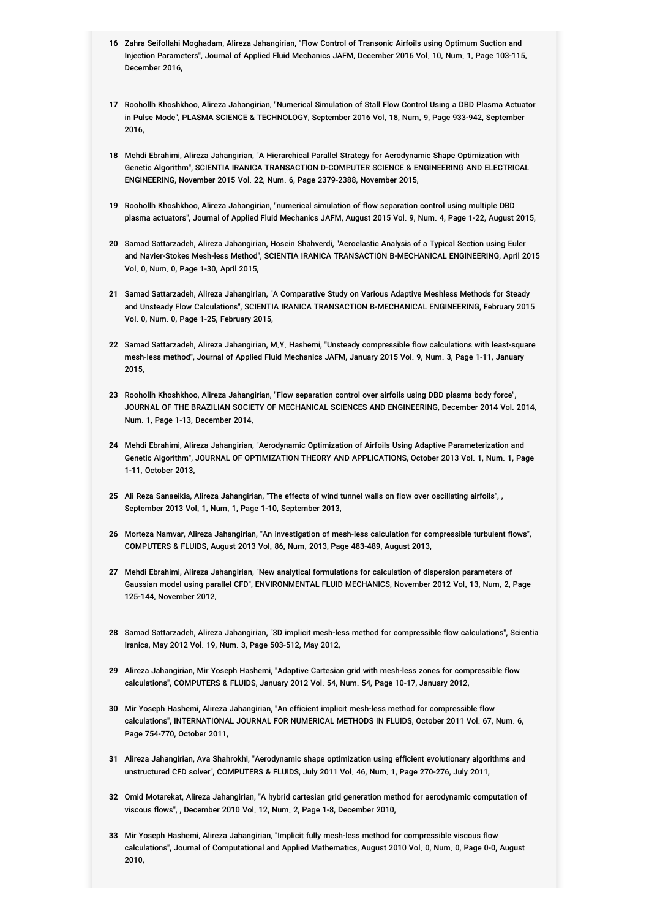- **16** Zahra Seifollahi Moghadam, Alireza Jahangirian, "Flow Control of Transonic Airfoils using Optimum Suction and Injection Parameters", Journal of Applied Fluid Mechanics JAFM, December 2016 Vol. 10, Num. 1, Page 103-115, December 2016,
- **17** Roohollh Khoshkhoo, Alireza Jahangirian, "Numerical Simulation of Stall Flow Control Using a DBD Plasma Actuator in Pulse Mode", PLASMA SCIENCE & TECHNOLOGY, September 2016 Vol. 18, Num. 9, Page 933-942, September 2016,
- **18** Mehdi Ebrahimi, Alireza Jahangirian, "A Hierarchical Parallel Strategy for Aerodynamic Shape Optimization with Genetic Algorithm", SCIENTIA IRANICA TRANSACTION D-COMPUTER SCIENCE & ENGINEERING AND ELECTRICAL ENGINEERING, November 2015 Vol. 22, Num. 6, Page 2379-2388, November 2015,
- **19** Roohollh Khoshkhoo, Alireza Jahangirian, "numerical simulation of flow separation control using multiple DBD plasma actuators", Journal of Applied Fluid Mechanics JAFM, August 2015 Vol. 9, Num. 4, Page 1-22, August 2015,
- **20** Samad Sattarzadeh, Alireza Jahangirian, Hosein Shahverdi, "Aeroelastic Analysis of a Typical Section using Euler and Navier-Stokes Mesh-less Method", SCIENTIA IRANICA TRANSACTION B-MECHANICAL ENGINEERING, April 2015 Vol. 0, Num. 0, Page 1-30, April 2015,
- **21** Samad Sattarzadeh, Alireza Jahangirian, "A Comparative Study on Various Adaptive Meshless Methods for Steady and Unsteady Flow Calculations", SCIENTIA IRANICA TRANSACTION B-MECHANICAL ENGINEERING, February 2015 Vol. 0, Num. 0, Page 1-25, February 2015,
- **22** Samad Sattarzadeh, Alireza Jahangirian, M.Y. Hashemi, "Unsteady compressible flow calculations with least-square mesh-less method", Journal of Applied Fluid Mechanics JAFM, January 2015 Vol. 9, Num. 3, Page 1-11, January 2015,
- **23** Roohollh Khoshkhoo, Alireza Jahangirian, "Flow separation control over airfoils using DBD plasma body force", JOURNAL OF THE BRAZILIAN SOCIETY OF MECHANICAL SCIENCES AND ENGINEERING, December 2014 Vol. 2014, Num. 1, Page 1-13, December 2014,
- **24** Mehdi Ebrahimi, Alireza Jahangirian, "Aerodynamic Optimization of Airfoils Using Adaptive Parameterization and Genetic Algorithm", JOURNAL OF OPTIMIZATION THEORY AND APPLICATIONS, October 2013 Vol. 1, Num. 1, Page 1-11, October 2013,
- **25** Ali Reza Sanaeikia, Alireza Jahangirian, "The effects of wind tunnel walls on flow over oscillating airfoils", , September 2013 Vol. 1, Num. 1, Page 1-10, September 2013,
- **26** Morteza Namvar, Alireza Jahangirian, "An investigation of mesh-less calculation for compressible turbulent flows", COMPUTERS & FLUIDS, August 2013 Vol. 86, Num. 2013, Page 483-489, August 2013,
- **27** Mehdi Ebrahimi, Alireza Jahangirian, "New analytical formulations for calculation of dispersion parameters of Gaussian model using parallel CFD", ENVIRONMENTAL FLUID MECHANICS, November 2012 Vol. 13, Num. 2, Page 125-144, November 2012,
- **28** Samad Sattarzadeh, Alireza Jahangirian, "3D implicit mesh-less method for compressible flow calculations", Scientia Iranica, May 2012 Vol. 19, Num. 3, Page 503-512, May 2012,
- **29** Alireza Jahangirian, Mir Yoseph Hashemi, "Adaptive Cartesian grid with mesh-less zones for compressible flow calculations", COMPUTERS & FLUIDS, January 2012 Vol. 54, Num. 54, Page 10-17, January 2012,
- **30** Mir Yoseph Hashemi, Alireza Jahangirian, "An efficient implicit mesh-less method for compressible flow calculations", INTERNATIONAL JOURNAL FOR NUMERICAL METHODS IN FLUIDS, October 2011 Vol. 67, Num. 6, Page 754-770, October 2011,
- **31** Alireza Jahangirian, Ava Shahrokhi, "Aerodynamic shape optimization using efficient evolutionary algorithms and unstructured CFD solver", COMPUTERS & FLUIDS, July 2011 Vol. 46, Num. 1, Page 270-276, July 2011,
- **32** Omid Motarekat, Alireza Jahangirian, "A hybrid cartesian grid generation method for aerodynamic computation of viscous flows", , December 2010 Vol. 12, Num. 2, Page 1-8, December 2010,
- **33** Mir Yoseph Hashemi, Alireza Jahangirian, "Implicit fully mesh-less method for compressible viscous flow calculations", Journal of Computational and Applied Mathematics, August 2010 Vol. 0, Num. 0, Page 0-0, August 2010,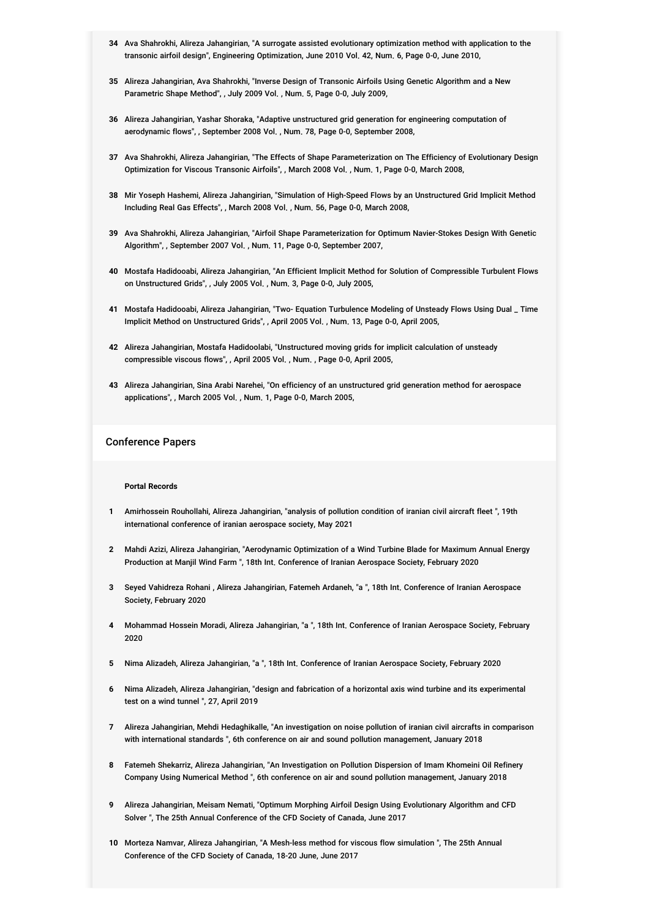- **34** Ava Shahrokhi, Alireza Jahangirian, "A surrogate assisted evolutionary optimization method with application to the transonic airfoil design", Engineering Optimization, June 2010 Vol. 42, Num. 6, Page 0-0, June 2010,
- **35** Alireza Jahangirian, Ava Shahrokhi, "Inverse Design of Transonic Airfoils Using Genetic Algorithm and a New Parametric Shape Method", , July 2009 Vol. , Num. 5, Page 0-0, July 2009,
- **36** Alireza Jahangirian, Yashar Shoraka, "Adaptive unstructured grid generation for engineering computation of aerodynamic flows", , September 2008 Vol. , Num. 78, Page 0-0, September 2008,
- **37** Ava Shahrokhi, Alireza Jahangirian, "The Effects of Shape Parameterization on The Efficiency of Evolutionary Design Optimization for Viscous Transonic Airfoils", , March 2008 Vol. , Num. 1, Page 0-0, March 2008,
- **38** Mir Yoseph Hashemi, Alireza Jahangirian, "Simulation of High-Speed Flows by an Unstructured Grid Implicit Method Including Real Gas Effects", , March 2008 Vol. , Num. 56, Page 0-0, March 2008,
- **39** Ava Shahrokhi, Alireza Jahangirian, "Airfoil Shape Parameterization for Optimum Navier-Stokes Design With Genetic Algorithm", , September 2007 Vol. , Num. 11, Page 0-0, September 2007,
- **40** Mostafa Hadidooabi, Alireza Jahangirian, "An Efficient Implicit Method for Solution of Compressible Turbulent Flows on Unstructured Grids", , July 2005 Vol. , Num. 3, Page 0-0, July 2005,
- **41** Mostafa Hadidooabi, Alireza Jahangirian, "Two- Equation Turbulence Modeling of Unsteady Flows Using Dual \_ Time Implicit Method on Unstructured Grids", , April 2005 Vol. , Num. 13, Page 0-0, April 2005,
- **42** Alireza Jahangirian, Mostafa Hadidoolabi, "Unstructured moving grids for implicit calculation of unsteady compressible viscous flows", , April 2005 Vol. , Num. , Page 0-0, April 2005,
- **43** Alireza Jahangirian, Sina Arabi Narehei, "On efficiency of an unstructured grid generation method for aerospace applications", , March 2005 Vol. , Num. 1, Page 0-0, March 2005,

### Conference Papers

#### **Portal Records**

- **1** Amirhossein Rouhollahi, Alireza Jahangirian, "analysis of pollution condition of iranian civil aircraft fleet ", 19th international conference of iranian aerospace society, May 2021
- **2** Mahdi Azizi, Alireza Jahangirian, "Aerodynamic Optimization of a Wind Turbine Blade for Maximum Annual Energy Production at Manjil Wind Farm ", 18th Int. Conference of Iranian Aerospace Society, February 2020
- **3** Seyed Vahidreza Rohani , Alireza Jahangirian, Fatemeh Ardaneh, "a ", 18th Int. Conference of Iranian Aerospace Society, February 2020
- **4** Mohammad Hossein Moradi, Alireza Jahangirian, "a ", 18th Int. Conference of Iranian Aerospace Society, February 2020
- **5** Nima Alizadeh, Alireza Jahangirian, "a ", 18th Int. Conference of Iranian Aerospace Society, February 2020
- **6** Nima Alizadeh, Alireza Jahangirian, "design and fabrication of a horizontal axis wind turbine and its experimental test on a wind tunnel ", 27, April 2019
- **7** Alireza Jahangirian, Mehdi Hedaghikalle, "An investigation on noise pollution of iranian civil aircrafts in comparison with international standards ", 6th conference on air and sound pollution management, January 2018
- **8** Fatemeh Shekarriz, Alireza Jahangirian, "An Investigation on Pollution Dispersion of Imam Khomeini Oil Refinery Company Using Numerical Method ", 6th conference on air and sound pollution management, January 2018
- **9** Alireza Jahangirian, Meisam Nemati, "Optimum Morphing Airfoil Design Using Evolutionary Algorithm and CFD Solver ", The 25th Annual Conference of the CFD Society of Canada, June 2017
- **10** Morteza Namvar, Alireza Jahangirian, "A Mesh-less method for viscous flow simulation ", The 25th Annual Conference of the CFD Society of Canada, 18-20 June, June 2017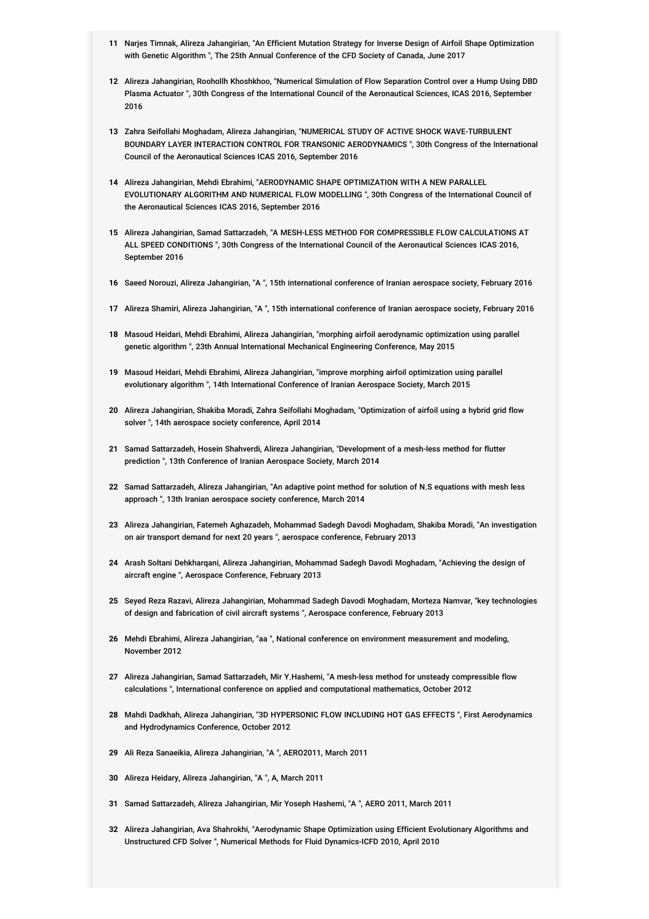- **11** Narjes Timnak, Alireza Jahangirian, "An Efficient Mutation Strategy for Inverse Design of Airfoil Shape Optimization with Genetic Algorithm ", The 25th Annual Conference of the CFD Society of Canada, June 2017
- **12** Alireza Jahangirian, Roohollh Khoshkhoo, "Numerical Simulation of Flow Separation Control over a Hump Using DBD Plasma Actuator ", 30th Congress of the International Council of the Aeronautical Sciences, ICAS 2016, September 2016
- **13** Zahra Seifollahi Moghadam, Alireza Jahangirian, "NUMERICAL STUDY OF ACTIVE SHOCK WAVE-TURBULENT BOUNDARY LAYER INTERACTION CONTROL FOR TRANSONIC AERODYNAMICS ", 30th Congress of the International Council of the Aeronautical Sciences ICAS 2016, September 2016
- **14** Alireza Jahangirian, Mehdi Ebrahimi, "AERODYNAMIC SHAPE OPTIMIZATION WITH A NEW PARALLEL EVOLUTIONARY ALGORITHM AND NUMERICAL FLOW MODELLING ", 30th Congress of the International Council of the Aeronautical Sciences ICAS 2016, September 2016
- **15** Alireza Jahangirian, Samad Sattarzadeh, "A MESH-LESS METHOD FOR COMPRESSIBLE FLOW CALCULATIONS AT ALL SPEED CONDITIONS ", 30th Congress of the International Council of the Aeronautical Sciences ICAS 2016, September 2016
- **16** Saeed Norouzi, Alireza Jahangirian, "A ", 15th international conference of Iranian aerospace society, February 2016
- **17** Alireza Shamiri, Alireza Jahangirian, "A ", 15th international conference of Iranian aerospace society, February 2016
- **18** Masoud Heidari, Mehdi Ebrahimi, Alireza Jahangirian, "morphing airfoil aerodynamic optimization using parallel genetic algorithm ", 23th Annual International Mechanical Engineering Conference, May 2015
- **19** Masoud Heidari, Mehdi Ebrahimi, Alireza Jahangirian, "improve morphing airfoil optimization using parallel evolutionary algorithm ", 14th International Conference of Iranian Aerospace Society, March 2015
- **20** Alireza Jahangirian, Shakiba Moradi, Zahra Seifollahi Moghadam, "Optimization of airfoil using a hybrid grid flow solver ", 14th aerospace society conference, April 2014
- **21** Samad Sattarzadeh, Hosein Shahverdi, Alireza Jahangirian, "Development of a mesh-less method for flutter prediction ", 13th Conference of Iranian Aerospace Society, March 2014
- **22** Samad Sattarzadeh, Alireza Jahangirian, "An adaptive point method for solution of N.S equations with mesh less approach ", 13th Iranian aerospace society conference, March 2014
- **23** Alireza Jahangirian, Fatemeh Aghazadeh, Mohammad Sadegh Davodi Moghadam, Shakiba Moradi, "An investigation on air transport demand for next 20 years ", aerospace conference, February 2013
- **24** Arash Soltani Dehkharqani, Alireza Jahangirian, Mohammad Sadegh Davodi Moghadam, "Achieving the design of aircraft engine ", Aerospace Conference, February 2013
- **25** Seyed Reza Razavi, Alireza Jahangirian, Mohammad Sadegh Davodi Moghadam, Morteza Namvar, "key technologies of design and fabrication of civil aircraft systems ", Aerospace conference, February 2013
- **26** Mehdi Ebrahimi, Alireza Jahangirian, "aa ", National conference on environment measurement and modeling, November 2012
- **27** Alireza Jahangirian, Samad Sattarzadeh, Mir Y.Hashemi, "A mesh-less method for unsteady compressible flow calculations ", International conference on applied and computational mathematics, October 2012
- **28** Mahdi Dadkhah, Alireza Jahangirian, "3D HYPERSONIC FLOW INCLUDING HOT GAS EFFECTS ", First Aerodynamics and Hydrodynamics Conference, October 2012
- **29** Ali Reza Sanaeikia, Alireza Jahangirian, "A ", AERO2011, March 2011
- **30** Alireza Heidary, Alireza Jahangirian, "A ", A, March 2011
- **31** Samad Sattarzadeh, Alireza Jahangirian, Mir Yoseph Hashemi, "A ", AERO 2011, March 2011
- **32** Alireza Jahangirian, Ava Shahrokhi, "Aerodynamic Shape Optimization using Efficient Evolutionary Algorithms and Unstructured CFD Solver ", Numerical Methods for Fluid Dynamics-ICFD 2010, April 2010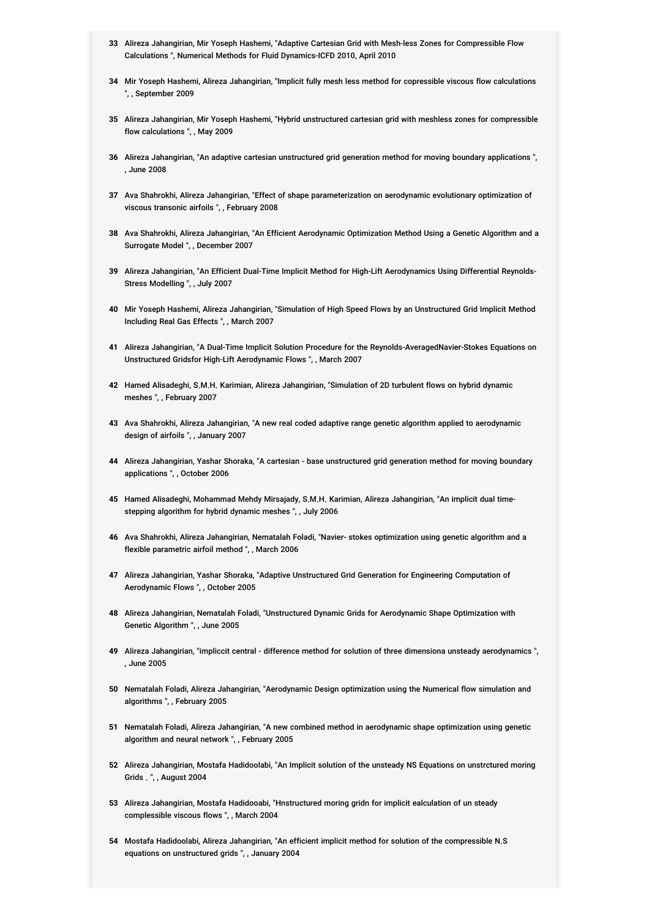- **33** Alireza Jahangirian, Mir Yoseph Hashemi, "Adaptive Cartesian Grid with Mesh-less Zones for Compressible Flow Calculations ", Numerical Methods for Fluid Dynamics-ICFD 2010, April 2010
- **34** Mir Yoseph Hashemi, Alireza Jahangirian, "Implicit fully mesh less method for copressible viscous flow calculations ", , September 2009
- **35** Alireza Jahangirian, Mir Yoseph Hashemi, "Hybrid unstructured cartesian grid with meshless zones for compressible flow calculations ", , May 2009
- **36** Alireza Jahangirian, "An adaptive cartesian unstructured grid generation method for moving boundary applications ", , June 2008
- **37** Ava Shahrokhi, Alireza Jahangirian, "Effect of shape parameterization on aerodynamic evolutionary optimization of viscous transonic airfoils ", , February 2008
- **38** Ava Shahrokhi, Alireza Jahangirian, "An Efficient Aerodynamic Optimization Method Using a Genetic Algorithm and a Surrogate Model ", , December 2007
- **39** Alireza Jahangirian, "An Efficient Dual-Time Implicit Method for High-Lift Aerodynamics Using Differential Reynolds-Stress Modelling ", , July 2007
- **40** Mir Yoseph Hashemi, Alireza Jahangirian, "Simulation of High Speed Flows by an Unstructured Grid Implicit Method Including Real Gas Effects ", , March 2007
- **41** Alireza Jahangirian, "A Dual-Time Implicit Solution Procedure for the Reynolds-AveragedNavier-Stokes Equations on Unstructured Gridsfor High-Lift Aerodynamic Flows ", , March 2007
- **42** Hamed Alisadeghi, S.M.H. Karimian, Alireza Jahangirian, "Simulation of 2D turbulent flows on hybrid dynamic meshes ", , February 2007
- **43** Ava Shahrokhi, Alireza Jahangirian, "A new real coded adaptive range genetic algorithm applied to aerodynamic design of airfoils ", , January 2007
- **44** Alireza Jahangirian, Yashar Shoraka, "A cartesian base unstructured grid generation method for moving boundary applications ", , October 2006
- **45** Hamed Alisadeghi, Mohammad Mehdy Mirsajady, S.M.H. Karimian, Alireza Jahangirian, "An implicit dual timestepping algorithm for hybrid dynamic meshes ", , July 2006
- **46** Ava Shahrokhi, Alireza Jahangirian, Nematalah Foladi, "Navier- stokes optimization using genetic algorithm and a flexible parametric airfoil method ", , March 2006
- **47** Alireza Jahangirian, Yashar Shoraka, "Adaptive Unstructured Grid Generation for Engineering Computation of Aerodynamic Flows ", , October 2005
- **48** Alireza Jahangirian, Nematalah Foladi, "Unstructured Dynamic Grids for Aerodynamic Shape Optimization with Genetic Algorithm ", , June 2005
- **49** Alireza Jahangirian, "impliccit central difference method for solution of three dimensiona unsteady aerodynamics ", , June 2005
- **50** Nematalah Foladi, Alireza Jahangirian, "Aerodynamic Design optimization using the Numerical flow simulation and algorithms ", , February 2005
- **51** Nematalah Foladi, Alireza Jahangirian, "A new combined method in aerodynamic shape optimization using genetic algorithm and neural network ", , February 2005
- **52** Alireza Jahangirian, Mostafa Hadidoolabi, "An Implicit solution of the unsteady NS Equations on unstrctured moring Grids . ", , August 2004
- **53** Alireza Jahangirian, Mostafa Hadidooabi, "Hnstructured moring gridn for implicit ealculation of un steady complessible viscous flows ", , March 2004
- **54** Mostafa Hadidoolabi, Alireza Jahangirian, "An efficient implicit method for solution of the compressible N.S equations on unstructured grids ", , January 2004